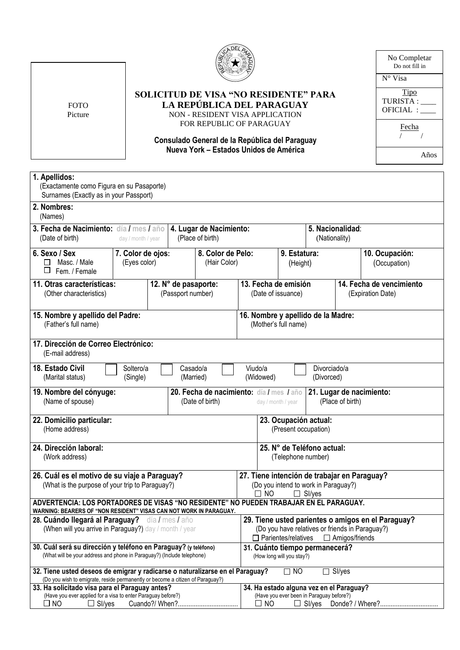

FOTO Picture **SOLICITUD DE VISA "NO RESIDENTE" PARA LA REPÚBLICA DEL PARAGUAY** NON - RESIDENT VISA APPLICATION

FOR REPUBLIC OF PARAGUAY

## **Consulado General de la República del Paraguay Nueva York – Estados Unidos de América**

Tipo  $TURISTA:$ OFICIAL : \_\_\_\_ Fecha / / N° Visa No Completar Do not fill in Años

| 1. Apellidos:<br>(Exactamente como Figura en su Pasaporte)<br>Surnames (Exactly as in your Passport)                                                                                             |                                                                         |                                   |  |                                                                                                                                                              |  |                                               |                                |  |
|--------------------------------------------------------------------------------------------------------------------------------------------------------------------------------------------------|-------------------------------------------------------------------------|-----------------------------------|--|--------------------------------------------------------------------------------------------------------------------------------------------------------------|--|-----------------------------------------------|--------------------------------|--|
| 2. Nombres:<br>(Names)                                                                                                                                                                           |                                                                         |                                   |  |                                                                                                                                                              |  |                                               |                                |  |
| 3. Fecha de Nacimiento: día / mes / año<br>(Date of birth)                                                                                                                                       | 4. Lugar de Nacimiento:<br>(Place of birth)                             |                                   |  | 5. Nacionalidad:<br>(Nationality)                                                                                                                            |  |                                               |                                |  |
| 6. Sexo / Sex<br>Masc. / Male<br>П<br>□<br>Fem. / Female                                                                                                                                         | 7. Color de ojos:<br>(Eyes color)                                       | 8. Color de Pelo:<br>(Hair Color) |  | 9. Estatura:<br>(Height)                                                                                                                                     |  |                                               | 10. Ocupación:<br>(Occupation) |  |
| (Other characteristics)                                                                                                                                                                          | 11. Otras características:<br>12. N° de pasaporte:<br>(Passport number) |                                   |  | 13. Fecha de emisión<br>(Date of issuance)                                                                                                                   |  | 14. Fecha de vencimiento<br>(Expiration Date) |                                |  |
| 15. Nombre y apellido del Padre:<br>(Father's full name)                                                                                                                                         |                                                                         |                                   |  | 16. Nombre y apellido de la Madre:<br>(Mother's full name)                                                                                                   |  |                                               |                                |  |
| 17. Dirección de Correo Electrónico:<br>(E-mail address)                                                                                                                                         |                                                                         |                                   |  |                                                                                                                                                              |  |                                               |                                |  |
| 18. Estado Civil<br>Viudo/a<br>Divorciado/a<br>Soltero/a<br>Casado/a<br>(Widowed)<br>(Marital status)<br>(Single)<br>(Married)<br>(Divorced)                                                     |                                                                         |                                   |  |                                                                                                                                                              |  |                                               |                                |  |
| 20. Fecha de nacimiento: día / mes / año<br>19. Nombre del cónyuge:<br>21. Lugar de nacimiento:<br>(Place of birth)<br>(Name of spouse)<br>(Date of birth)<br>day / month / year                 |                                                                         |                                   |  |                                                                                                                                                              |  |                                               |                                |  |
| 22. Domicilio particular:<br>(Home address)                                                                                                                                                      |                                                                         |                                   |  | 23. Ocupación actual:<br>(Present occupation)                                                                                                                |  |                                               |                                |  |
| 24. Dirección laboral:<br>(Work address)                                                                                                                                                         |                                                                         |                                   |  | 25. N° de Teléfono actual:<br>(Telephone number)                                                                                                             |  |                                               |                                |  |
| 26. Cuál es el motivo de su viaje a Paraguay?<br>(What is the purpose of your trip to Paraguay?)                                                                                                 |                                                                         |                                   |  | 27. Tiene intención de trabajar en Paraguay?<br>(Do you intend to work in Paraguay?)<br>$\square$ NO<br>$\Box$ SI/yes                                        |  |                                               |                                |  |
| ADVERTENCIA: LOS PORTADORES DE VISAS "NO RESIDENTE" NO PUEDEN TRABAJAR EN EL PARAGUAY.<br>WARNING: BEARERS OF "NON RESIDENT" VISAS CAN NOT WORK IN PARAGUAY.                                     |                                                                         |                                   |  |                                                                                                                                                              |  |                                               |                                |  |
| 28. Cuándo llegará al Paraguay? día / mes / año<br>(When will you arrive in Paraguay?) day / month / year                                                                                        |                                                                         |                                   |  | 29. Tiene usted parientes o amigos en el Paraguay?<br>(Do you have relatives or friends in Paraguay?)<br>$\Box$ Parientes/relatives<br>$\Box$ Amigos/friends |  |                                               |                                |  |
| 30. Cuál será su dirección y teléfono en Paraguay? (y teléfono)<br>(What will be your address and phone in Paraguay?) (Include telephone)                                                        |                                                                         |                                   |  | 31. Cuánto tiempo permanecerá?<br>(How long will you stay?)                                                                                                  |  |                                               |                                |  |
| 32. Tiene usted deseos de emigrar y radicarse o naturalizarse en el Paraguay?<br>$\Box$ SI/yes<br>$\square$ NO<br>(Do you wish to emigrate, reside permanently or become a citizen of Paraguay?) |                                                                         |                                   |  |                                                                                                                                                              |  |                                               |                                |  |
| 33. Ha solicitado visa para el Paraguay antes?<br>(Have you ever applied for a visa to enter Paraguay before?)<br>$\square$ NO<br>$\Box$ SI/yes<br>Cuando?/ When?                                |                                                                         |                                   |  | 34. Ha estado alguna vez en el Paraguay?<br>(Have you ever been in Paraguay before?)<br><b>NO</b><br>ப                                                       |  |                                               |                                |  |